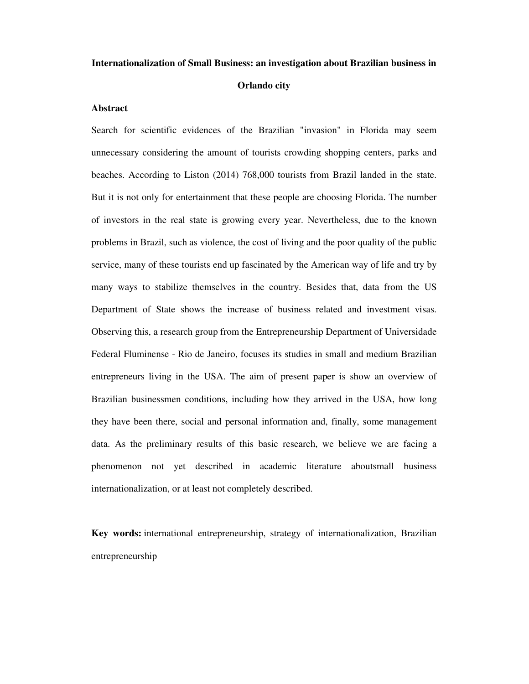## **Internationalization of Small Business: an investigation about Brazilian business in**

# **Orlando city**

#### **Abstract**

Search for scientific evidences of the Brazilian "invasion" in Florida may seem unnecessary considering the amount of tourists crowding shopping centers, parks and beaches. According to Liston (2014) 768,000 tourists from Brazil landed in the state. But it is not only for entertainment that these people are choosing Florida. The number of investors in the real state is growing every year. Nevertheless, due to the known problems in Brazil, such as violence, the cost of living and the poor quality of the public service, many of these tourists end up fascinated by the American way of life and try by many ways to stabilize themselves in the country. Besides that, data from the US Department of State shows the increase of business related and investment visas. Observing this, a research group from the Entrepreneurship Department of Universidade Federal Fluminense - Rio de Janeiro, focuses its studies in small and medium Brazilian entrepreneurs living in the USA. The aim of present paper is show an overview of Brazilian businessmen conditions, including how they arrived in the USA, how long they have been there, social and personal information and, finally, some management data. As the preliminary results of this basic research, we believe we are facing a phenomenon not yet described in academic literature aboutsmall business internationalization, or at least not completely described.

**Key words:** international entrepreneurship, strategy of internationalization, Brazilian entrepreneurship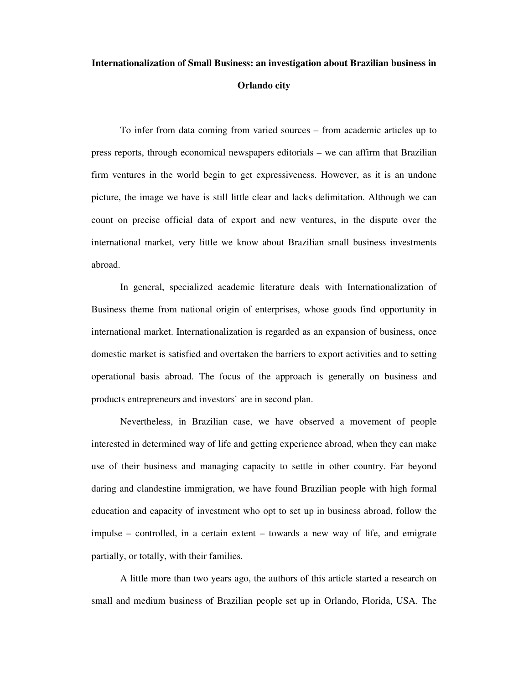# **Internationalization of Small Business: an investigation about Brazilian business in Orlando city**

To infer from data coming from varied sources – from academic articles up to press reports, through economical newspapers editorials – we can affirm that Brazilian firm ventures in the world begin to get expressiveness. However, as it is an undone picture, the image we have is still little clear and lacks delimitation. Although we can count on precise official data of export and new ventures, in the dispute over the international market, very little we know about Brazilian small business investments abroad.

In general, specialized academic literature deals with Internationalization of Business theme from national origin of enterprises, whose goods find opportunity in international market. Internationalization is regarded as an expansion of business, once domestic market is satisfied and overtaken the barriers to export activities and to setting operational basis abroad. The focus of the approach is generally on business and products entrepreneurs and investors` are in second plan.

Nevertheless, in Brazilian case, we have observed a movement of people interested in determined way of life and getting experience abroad, when they can make use of their business and managing capacity to settle in other country. Far beyond daring and clandestine immigration, we have found Brazilian people with high formal education and capacity of investment who opt to set up in business abroad, follow the impulse – controlled, in a certain extent – towards a new way of life, and emigrate partially, or totally, with their families.

A little more than two years ago, the authors of this article started a research on small and medium business of Brazilian people set up in Orlando, Florida, USA. The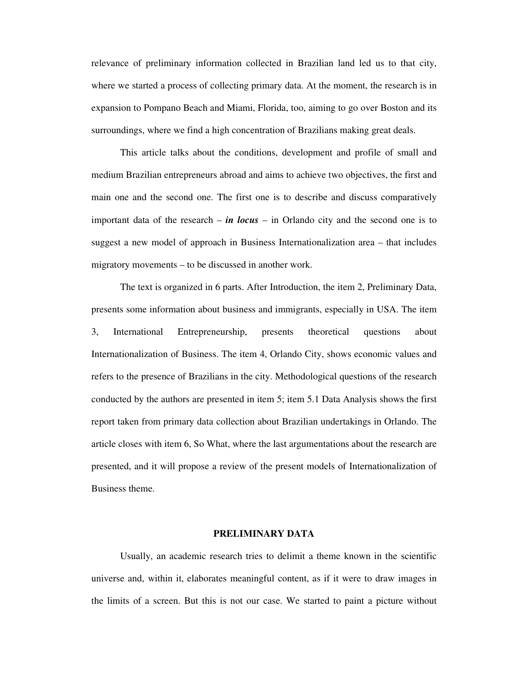relevance of preliminary information collected in Brazilian land led us to that city, where we started a process of collecting primary data. At the moment, the research is in expansion to Pompano Beach and Miami, Florida, too, aiming to go over Boston and its surroundings, where we find a high concentration of Brazilians making great deals.

This article talks about the conditions, development and profile of small and medium Brazilian entrepreneurs abroad and aims to achieve two objectives, the first and main one and the second one. The first one is to describe and discuss comparatively important data of the research – *in locus* – in Orlando city and the second one is to suggest a new model of approach in Business Internationalization area – that includes migratory movements – to be discussed in another work.

The text is organized in 6 parts. After Introduction, the item 2, Preliminary Data, presents some information about business and immigrants, especially in USA. The item 3, International Entrepreneurship, presents theoretical questions about Internationalization of Business. The item 4, Orlando City, shows economic values and refers to the presence of Brazilians in the city. Methodological questions of the research conducted by the authors are presented in item 5; item 5.1 Data Analysis shows the first report taken from primary data collection about Brazilian undertakings in Orlando. The article closes with item 6, So What, where the last argumentations about the research are presented, and it will propose a review of the present models of Internationalization of Business theme.

#### **PRELIMINARY DATA**

 Usually, an academic research tries to delimit a theme known in the scientific universe and, within it, elaborates meaningful content, as if it were to draw images in the limits of a screen. But this is not our case. We started to paint a picture without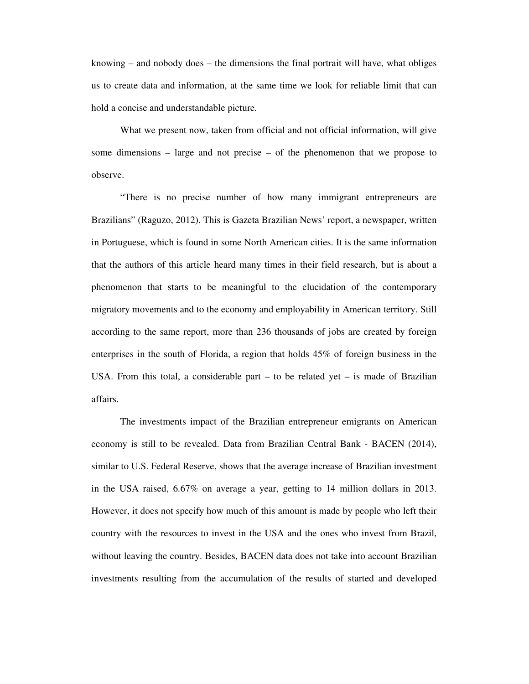knowing – and nobody does – the dimensions the final portrait will have, what obliges us to create data and information, at the same time we look for reliable limit that can hold a concise and understandable picture.

 What we present now, taken from official and not official information, will give some dimensions – large and not precise – of the phenomenon that we propose to observe.

 "There is no precise number of how many immigrant entrepreneurs are Brazilians" (Raguzo, 2012). This is Gazeta Brazilian News' report, a newspaper, written in Portuguese, which is found in some North American cities. It is the same information that the authors of this article heard many times in their field research, but is about a phenomenon that starts to be meaningful to the elucidation of the contemporary migratory movements and to the economy and employability in American territory. Still according to the same report, more than 236 thousands of jobs are created by foreign enterprises in the south of Florida, a region that holds 45% of foreign business in the USA. From this total, a considerable part  $-$  to be related yet  $-$  is made of Brazilian affairs.

 The investments impact of the Brazilian entrepreneur emigrants on American economy is still to be revealed. Data from Brazilian Central Bank - BACEN (2014), similar to U.S. Federal Reserve, shows that the average increase of Brazilian investment in the USA raised, 6.67% on average a year, getting to 14 million dollars in 2013. However, it does not specify how much of this amount is made by people who left their country with the resources to invest in the USA and the ones who invest from Brazil, without leaving the country. Besides, BACEN data does not take into account Brazilian investments resulting from the accumulation of the results of started and developed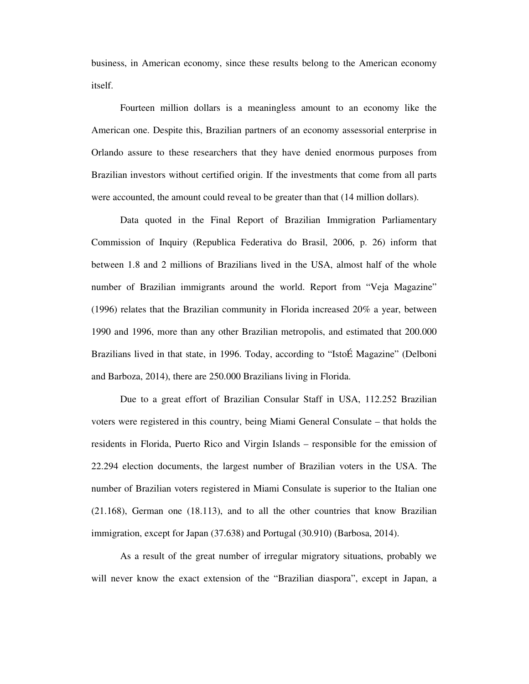business, in American economy, since these results belong to the American economy itself.

 Fourteen million dollars is a meaningless amount to an economy like the American one. Despite this, Brazilian partners of an economy assessorial enterprise in Orlando assure to these researchers that they have denied enormous purposes from Brazilian investors without certified origin. If the investments that come from all parts were accounted, the amount could reveal to be greater than that (14 million dollars).

 Data quoted in the Final Report of Brazilian Immigration Parliamentary Commission of Inquiry (Republica Federativa do Brasil, 2006, p. 26) inform that between 1.8 and 2 millions of Brazilians lived in the USA, almost half of the whole number of Brazilian immigrants around the world. Report from "Veja Magazine" (1996) relates that the Brazilian community in Florida increased 20% a year, between 1990 and 1996, more than any other Brazilian metropolis, and estimated that 200.000 Brazilians lived in that state, in 1996. Today, according to "IstoÉ Magazine" (Delboni and Barboza, 2014), there are 250.000 Brazilians living in Florida.

 Due to a great effort of Brazilian Consular Staff in USA, 112.252 Brazilian voters were registered in this country, being Miami General Consulate – that holds the residents in Florida, Puerto Rico and Virgin Islands – responsible for the emission of 22.294 election documents, the largest number of Brazilian voters in the USA. The number of Brazilian voters registered in Miami Consulate is superior to the Italian one (21.168), German one (18.113), and to all the other countries that know Brazilian immigration, except for Japan (37.638) and Portugal (30.910) (Barbosa, 2014).

 As a result of the great number of irregular migratory situations, probably we will never know the exact extension of the "Brazilian diaspora", except in Japan, a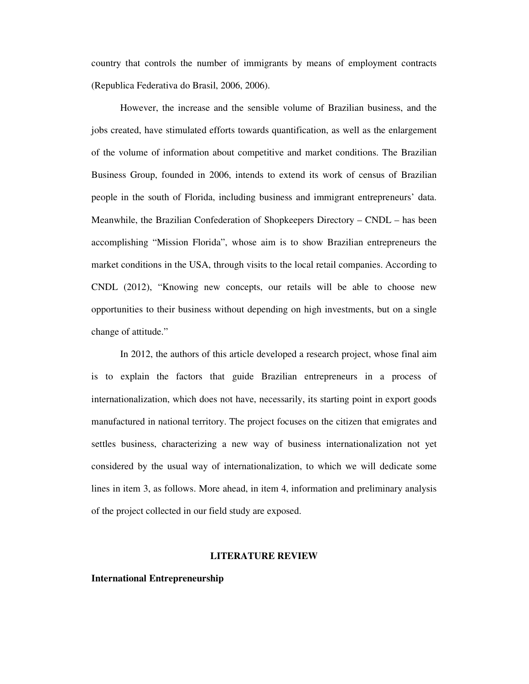country that controls the number of immigrants by means of employment contracts (Republica Federativa do Brasil, 2006, 2006).

 However, the increase and the sensible volume of Brazilian business, and the jobs created, have stimulated efforts towards quantification, as well as the enlargement of the volume of information about competitive and market conditions. The Brazilian Business Group, founded in 2006, intends to extend its work of census of Brazilian people in the south of Florida, including business and immigrant entrepreneurs' data. Meanwhile, the Brazilian Confederation of Shopkeepers Directory – CNDL – has been accomplishing "Mission Florida", whose aim is to show Brazilian entrepreneurs the market conditions in the USA, through visits to the local retail companies. According to CNDL (2012), "Knowing new concepts, our retails will be able to choose new opportunities to their business without depending on high investments, but on a single change of attitude."

 In 2012, the authors of this article developed a research project, whose final aim is to explain the factors that guide Brazilian entrepreneurs in a process of internationalization, which does not have, necessarily, its starting point in export goods manufactured in national territory. The project focuses on the citizen that emigrates and settles business, characterizing a new way of business internationalization not yet considered by the usual way of internationalization, to which we will dedicate some lines in item 3, as follows. More ahead, in item 4, information and preliminary analysis of the project collected in our field study are exposed.

#### **LITERATURE REVIEW**

# **International Entrepreneurship**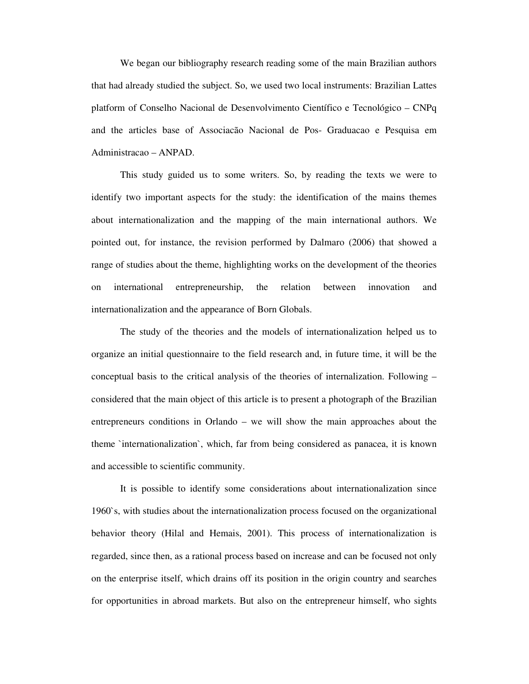We began our bibliography research reading some of the main Brazilian authors that had already studied the subject. So, we used two local instruments: Brazilian Lattes platform of Conselho Nacional de Desenvolvimento Científico e Tecnológico – CNPq and the articles base of Associacão Nacional de Pos- Graduacao e Pesquisa em Administracao – ANPAD.

This study guided us to some writers. So, by reading the texts we were to identify two important aspects for the study: the identification of the mains themes about internationalization and the mapping of the main international authors. We pointed out, for instance, the revision performed by Dalmaro (2006) that showed a range of studies about the theme, highlighting works on the development of the theories on international entrepreneurship, the relation between innovation and internationalization and the appearance of Born Globals.

The study of the theories and the models of internationalization helped us to organize an initial questionnaire to the field research and, in future time, it will be the conceptual basis to the critical analysis of the theories of internalization. Following – considered that the main object of this article is to present a photograph of the Brazilian entrepreneurs conditions in Orlando – we will show the main approaches about the theme `internationalization`, which, far from being considered as panacea, it is known and accessible to scientific community.

It is possible to identify some considerations about internationalization since 1960`s, with studies about the internationalization process focused on the organizational behavior theory (Hilal and Hemais, 2001). This process of internationalization is regarded, since then, as a rational process based on increase and can be focused not only on the enterprise itself, which drains off its position in the origin country and searches for opportunities in abroad markets. But also on the entrepreneur himself, who sights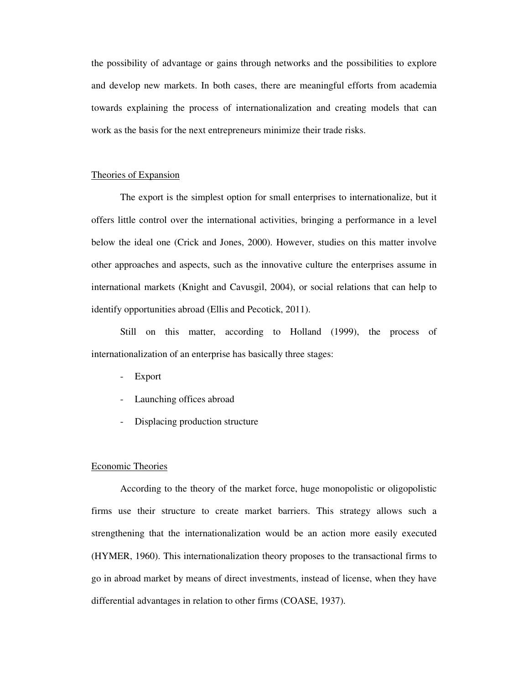the possibility of advantage or gains through networks and the possibilities to explore and develop new markets. In both cases, there are meaningful efforts from academia towards explaining the process of internationalization and creating models that can work as the basis for the next entrepreneurs minimize their trade risks.

## Theories of Expansion

The export is the simplest option for small enterprises to internationalize, but it offers little control over the international activities, bringing a performance in a level below the ideal one (Crick and Jones, 2000). However, studies on this matter involve other approaches and aspects, such as the innovative culture the enterprises assume in international markets (Knight and Cavusgil, 2004), or social relations that can help to identify opportunities abroad (Ellis and Pecotick, 2011).

Still on this matter, according to Holland (1999), the process of internationalization of an enterprise has basically three stages:

- Export
- Launching offices abroad
- Displacing production structure

## Economic Theories

According to the theory of the market force, huge monopolistic or oligopolistic firms use their structure to create market barriers. This strategy allows such a strengthening that the internationalization would be an action more easily executed (HYMER, 1960). This internationalization theory proposes to the transactional firms to go in abroad market by means of direct investments, instead of license, when they have differential advantages in relation to other firms (COASE, 1937).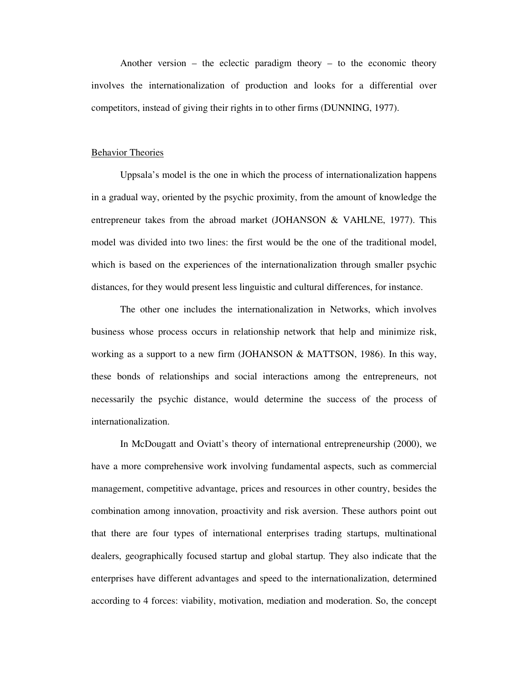Another version – the eclectic paradigm theory – to the economic theory involves the internationalization of production and looks for a differential over competitors, instead of giving their rights in to other firms (DUNNING, 1977).

## Behavior Theories

Uppsala's model is the one in which the process of internationalization happens in a gradual way, oriented by the psychic proximity, from the amount of knowledge the entrepreneur takes from the abroad market (JOHANSON & VAHLNE, 1977). This model was divided into two lines: the first would be the one of the traditional model, which is based on the experiences of the internationalization through smaller psychic distances, for they would present less linguistic and cultural differences, for instance.

The other one includes the internationalization in Networks, which involves business whose process occurs in relationship network that help and minimize risk, working as a support to a new firm (JOHANSON  $&$  MATTSON, 1986). In this way, these bonds of relationships and social interactions among the entrepreneurs, not necessarily the psychic distance, would determine the success of the process of internationalization.

In McDougatt and Oviatt's theory of international entrepreneurship (2000), we have a more comprehensive work involving fundamental aspects, such as commercial management, competitive advantage, prices and resources in other country, besides the combination among innovation, proactivity and risk aversion. These authors point out that there are four types of international enterprises trading startups, multinational dealers, geographically focused startup and global startup. They also indicate that the enterprises have different advantages and speed to the internationalization, determined according to 4 forces: viability, motivation, mediation and moderation. So, the concept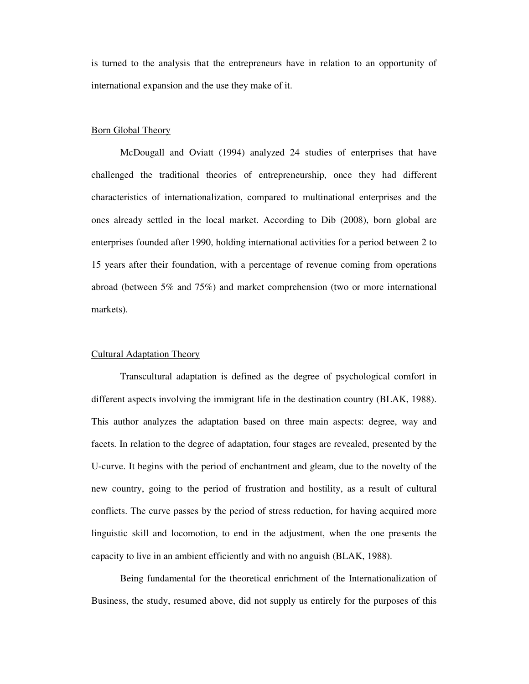is turned to the analysis that the entrepreneurs have in relation to an opportunity of international expansion and the use they make of it.

## Born Global Theory

McDougall and Oviatt (1994) analyzed 24 studies of enterprises that have challenged the traditional theories of entrepreneurship, once they had different characteristics of internationalization, compared to multinational enterprises and the ones already settled in the local market. According to Dib (2008), born global are enterprises founded after 1990, holding international activities for a period between 2 to 15 years after their foundation, with a percentage of revenue coming from operations abroad (between 5% and 75%) and market comprehension (two or more international markets).

## Cultural Adaptation Theory

Transcultural adaptation is defined as the degree of psychological comfort in different aspects involving the immigrant life in the destination country (BLAK, 1988). This author analyzes the adaptation based on three main aspects: degree, way and facets. In relation to the degree of adaptation, four stages are revealed, presented by the U-curve. It begins with the period of enchantment and gleam, due to the novelty of the new country, going to the period of frustration and hostility, as a result of cultural conflicts. The curve passes by the period of stress reduction, for having acquired more linguistic skill and locomotion, to end in the adjustment, when the one presents the capacity to live in an ambient efficiently and with no anguish (BLAK, 1988).

Being fundamental for the theoretical enrichment of the Internationalization of Business, the study, resumed above, did not supply us entirely for the purposes of this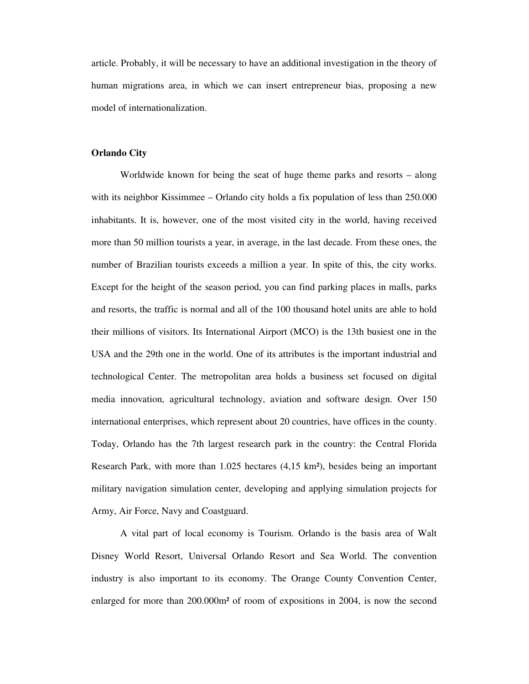article. Probably, it will be necessary to have an additional investigation in the theory of human migrations area, in which we can insert entrepreneur bias, proposing a new model of internationalization.

## **Orlando City**

Worldwide known for being the seat of huge theme parks and resorts – along with its neighbor Kissimmee – Orlando city holds a fix population of less than 250.000 inhabitants. It is, however, one of the most visited city in the world, having received more than 50 million tourists a year, in average, in the last decade. From these ones, the number of Brazilian tourists exceeds a million a year. In spite of this, the city works. Except for the height of the season period, you can find parking places in malls, parks and resorts, the traffic is normal and all of the 100 thousand hotel units are able to hold their millions of visitors. Its International Airport (MCO) is the 13th busiest one in the USA and the 29th one in the world. One of its attributes is the important industrial and technological Center. The metropolitan area holds a business set focused on digital media innovation, agricultural technology, aviation and software design. Over 150 international enterprises, which represent about 20 countries, have offices in the county. Today, Orlando has the 7th largest research park in the country: the Central Florida Research Park, with more than 1.025 hectares (4,15 km²), besides being an important military navigation simulation center, developing and applying simulation projects for Army, Air Force, Navy and Coastguard.

A vital part of local economy is Tourism. Orlando is the basis area of Walt Disney World Resort, Universal Orlando Resort and Sea World. The convention industry is also important to its economy. The Orange County Convention Center, enlarged for more than 200.000m² of room of expositions in 2004, is now the second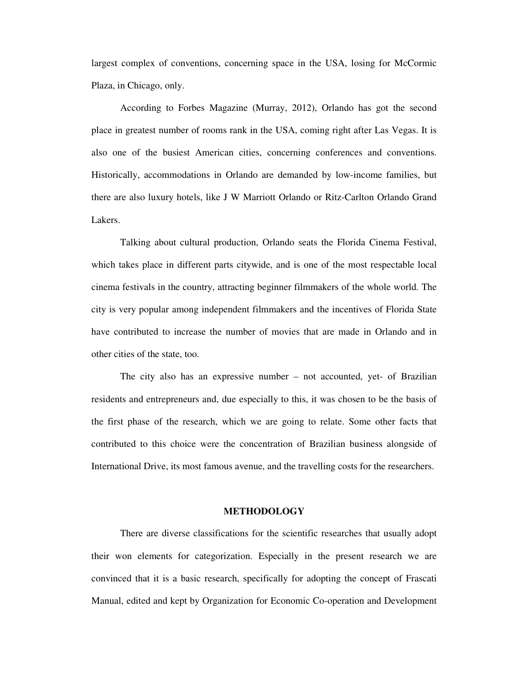largest complex of conventions, concerning space in the USA, losing for McCormic Plaza, in Chicago, only.

According to Forbes Magazine (Murray, 2012), Orlando has got the second place in greatest number of rooms rank in the USA, coming right after Las Vegas. It is also one of the busiest American cities, concerning conferences and conventions. Historically, accommodations in Orlando are demanded by low-income families, but there are also luxury hotels, like J W Marriott Orlando or Ritz-Carlton Orlando Grand Lakers.

Talking about cultural production, Orlando seats the Florida Cinema Festival, which takes place in different parts citywide, and is one of the most respectable local cinema festivals in the country, attracting beginner filmmakers of the whole world. The city is very popular among independent filmmakers and the incentives of Florida State have contributed to increase the number of movies that are made in Orlando and in other cities of the state, too.

The city also has an expressive number – not accounted, yet- of Brazilian residents and entrepreneurs and, due especially to this, it was chosen to be the basis of the first phase of the research, which we are going to relate. Some other facts that contributed to this choice were the concentration of Brazilian business alongside of International Drive, its most famous avenue, and the travelling costs for the researchers.

#### **METHODOLOGY**

 There are diverse classifications for the scientific researches that usually adopt their won elements for categorization. Especially in the present research we are convinced that it is a basic research, specifically for adopting the concept of Frascati Manual, edited and kept by Organization for Economic Co-operation and Development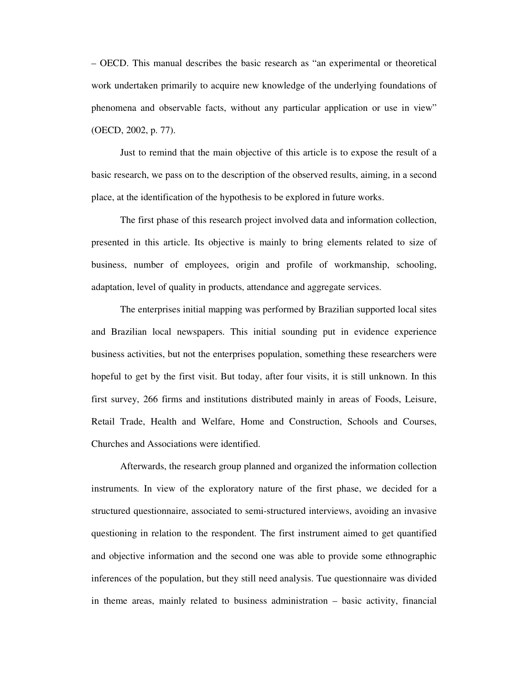– OECD. This manual describes the basic research as "an experimental or theoretical work undertaken primarily to acquire new knowledge of the underlying foundations of phenomena and observable facts, without any particular application or use in view" (OECD, 2002, p. 77).

 Just to remind that the main objective of this article is to expose the result of a basic research, we pass on to the description of the observed results, aiming, in a second place, at the identification of the hypothesis to be explored in future works.

 The first phase of this research project involved data and information collection, presented in this article. Its objective is mainly to bring elements related to size of business, number of employees, origin and profile of workmanship, schooling, adaptation, level of quality in products, attendance and aggregate services.

 The enterprises initial mapping was performed by Brazilian supported local sites and Brazilian local newspapers. This initial sounding put in evidence experience business activities, but not the enterprises population, something these researchers were hopeful to get by the first visit. But today, after four visits, it is still unknown. In this first survey, 266 firms and institutions distributed mainly in areas of Foods, Leisure, Retail Trade, Health and Welfare, Home and Construction, Schools and Courses, Churches and Associations were identified.

 Afterwards, the research group planned and organized the information collection instruments. In view of the exploratory nature of the first phase, we decided for a structured questionnaire, associated to semi-structured interviews, avoiding an invasive questioning in relation to the respondent. The first instrument aimed to get quantified and objective information and the second one was able to provide some ethnographic inferences of the population, but they still need analysis. Tue questionnaire was divided in theme areas, mainly related to business administration – basic activity, financial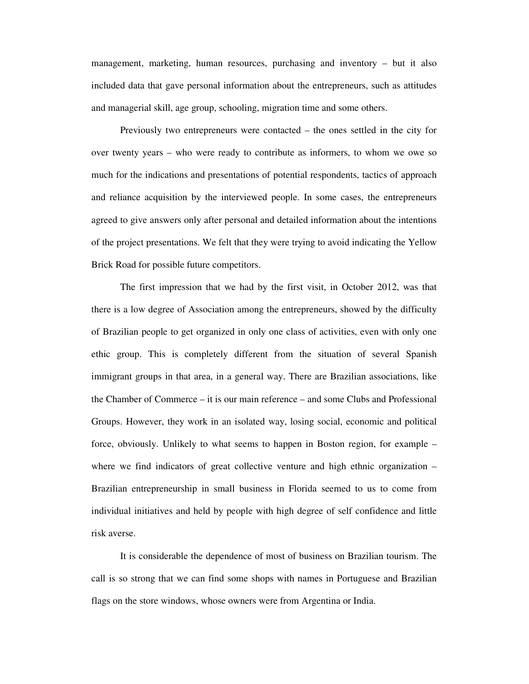management, marketing, human resources, purchasing and inventory – but it also included data that gave personal information about the entrepreneurs, such as attitudes and managerial skill, age group, schooling, migration time and some others.

 Previously two entrepreneurs were contacted – the ones settled in the city for over twenty years – who were ready to contribute as informers, to whom we owe so much for the indications and presentations of potential respondents, tactics of approach and reliance acquisition by the interviewed people. In some cases, the entrepreneurs agreed to give answers only after personal and detailed information about the intentions of the project presentations. We felt that they were trying to avoid indicating the Yellow Brick Road for possible future competitors.

 The first impression that we had by the first visit, in October 2012, was that there is a low degree of Association among the entrepreneurs, showed by the difficulty of Brazilian people to get organized in only one class of activities, even with only one ethic group. This is completely different from the situation of several Spanish immigrant groups in that area, in a general way. There are Brazilian associations, like the Chamber of Commerce – it is our main reference – and some Clubs and Professional Groups. However, they work in an isolated way, losing social, economic and political force, obviously. Unlikely to what seems to happen in Boston region, for example – where we find indicators of great collective venture and high ethnic organization – Brazilian entrepreneurship in small business in Florida seemed to us to come from individual initiatives and held by people with high degree of self confidence and little risk averse.

 It is considerable the dependence of most of business on Brazilian tourism. The call is so strong that we can find some shops with names in Portuguese and Brazilian flags on the store windows, whose owners were from Argentina or India.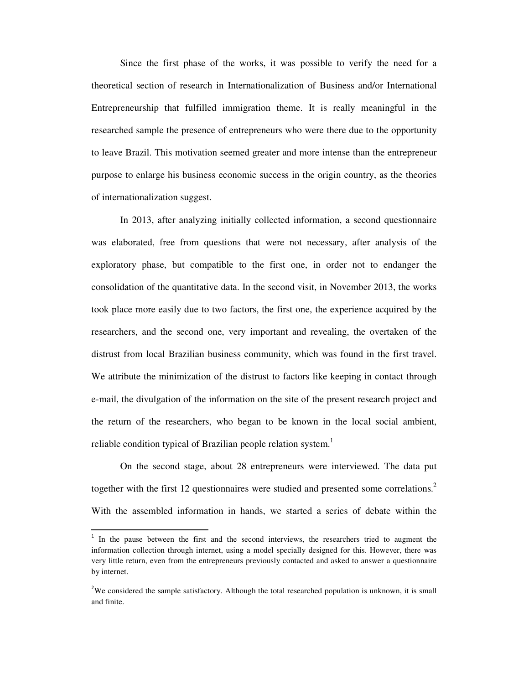Since the first phase of the works, it was possible to verify the need for a theoretical section of research in Internationalization of Business and/or International Entrepreneurship that fulfilled immigration theme. It is really meaningful in the researched sample the presence of entrepreneurs who were there due to the opportunity to leave Brazil. This motivation seemed greater and more intense than the entrepreneur purpose to enlarge his business economic success in the origin country, as the theories of internationalization suggest.

In 2013, after analyzing initially collected information, a second questionnaire was elaborated, free from questions that were not necessary, after analysis of the exploratory phase, but compatible to the first one, in order not to endanger the consolidation of the quantitative data. In the second visit, in November 2013, the works took place more easily due to two factors, the first one, the experience acquired by the researchers, and the second one, very important and revealing, the overtaken of the distrust from local Brazilian business community, which was found in the first travel. We attribute the minimization of the distrust to factors like keeping in contact through e-mail, the divulgation of the information on the site of the present research project and the return of the researchers, who began to be known in the local social ambient, reliable condition typical of Brazilian people relation system.<sup>1</sup>

 On the second stage, about 28 entrepreneurs were interviewed. The data put together with the first 12 questionnaires were studied and presented some correlations.<sup>2</sup> With the assembled information in hands, we started a series of debate within the

l

<sup>&</sup>lt;sup>1</sup> In the pause between the first and the second interviews, the researchers tried to augment the information collection through internet, using a model specially designed for this. However, there was very little return, even from the entrepreneurs previously contacted and asked to answer a questionnaire by internet.

<sup>&</sup>lt;sup>2</sup>We considered the sample satisfactory. Although the total researched population is unknown, it is small and finite.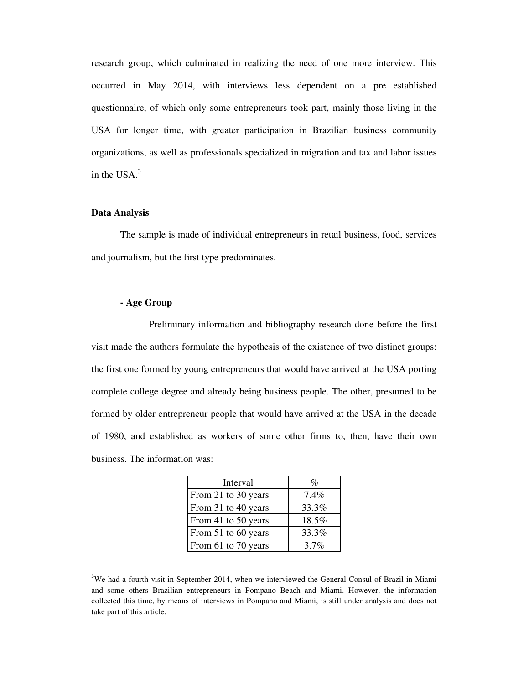research group, which culminated in realizing the need of one more interview. This occurred in May 2014, with interviews less dependent on a pre established questionnaire, of which only some entrepreneurs took part, mainly those living in the USA for longer time, with greater participation in Brazilian business community organizations, as well as professionals specialized in migration and tax and labor issues in the USA.<sup>3</sup>

## **Data Analysis**

 $\overline{a}$ 

The sample is made of individual entrepreneurs in retail business, food, services and journalism, but the first type predominates.

# **- Age Group**

 Preliminary information and bibliography research done before the first visit made the authors formulate the hypothesis of the existence of two distinct groups: the first one formed by young entrepreneurs that would have arrived at the USA porting complete college degree and already being business people. The other, presumed to be formed by older entrepreneur people that would have arrived at the USA in the decade of 1980, and established as workers of some other firms to, then, have their own business. The information was:

| Interval            | %       |
|---------------------|---------|
| From 21 to 30 years | $7.4\%$ |
| From 31 to 40 years | 33.3%   |
| From 41 to 50 years | 18.5%   |
| From 51 to 60 years | 33.3%   |
| From 61 to 70 years | 3.7%    |

<sup>&</sup>lt;sup>3</sup>We had a fourth visit in September 2014, when we interviewed the General Consul of Brazil in Miami and some others Brazilian entrepreneurs in Pompano Beach and Miami. However, the information collected this time, by means of interviews in Pompano and Miami, is still under analysis and does not take part of this article.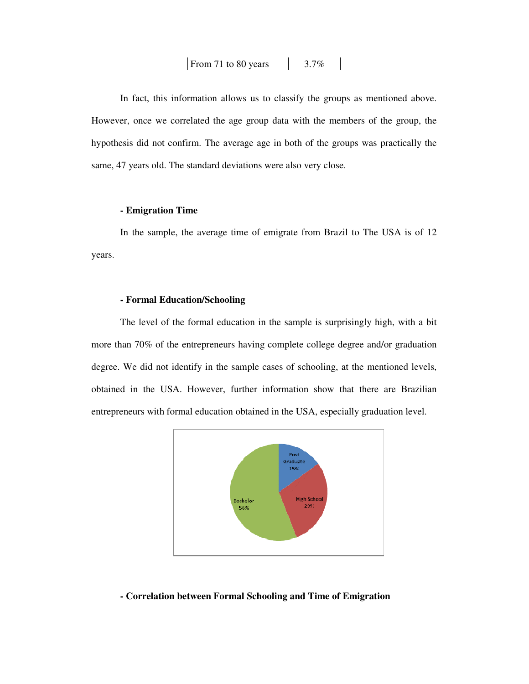| From 71 to 80 years | $3.7\%$ |
|---------------------|---------|
|---------------------|---------|

 In fact, this information allows us to classify the groups as mentioned above. However, once we correlated the age group data with the members of the group, the hypothesis did not confirm. The average age in both of the groups was practically the same, 47 years old. The standard deviations were also very close.

# **- Emigration Time**

In the sample, the average time of emigrate from Brazil to The USA is of 12 years.

# **- Formal Education/Schooling**

The level of the formal education in the sample is surprisingly high, with a bit more than 70% of the entrepreneurs having complete college degree and/or graduation degree. We did not identify in the sample cases of schooling, at the mentioned levels, obtained in the USA. However, further information show that there are Brazilian entrepreneurs with formal education obtained in the USA, especially graduation level.



## **- Correlation between Formal Schooling and Time of Emigration**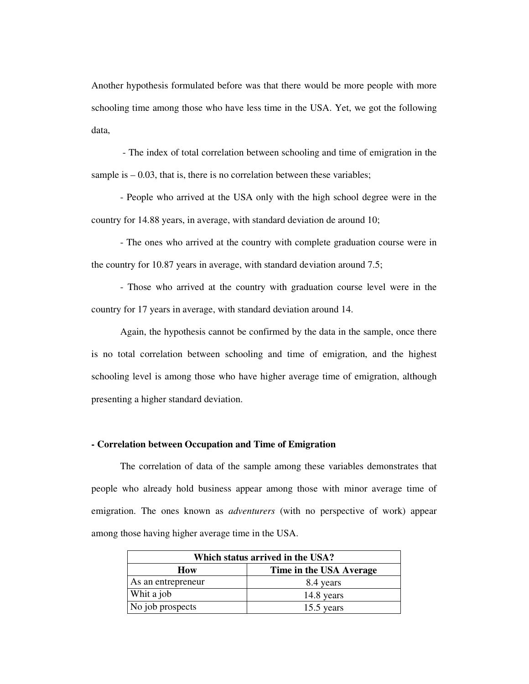Another hypothesis formulated before was that there would be more people with more schooling time among those who have less time in the USA. Yet, we got the following data,

 - The index of total correlation between schooling and time of emigration in the sample is  $-0.03$ , that is, there is no correlation between these variables;

- People who arrived at the USA only with the high school degree were in the country for 14.88 years, in average, with standard deviation de around 10;

 - The ones who arrived at the country with complete graduation course were in the country for 10.87 years in average, with standard deviation around 7.5;

 - Those who arrived at the country with graduation course level were in the country for 17 years in average, with standard deviation around 14.

 Again, the hypothesis cannot be confirmed by the data in the sample, once there is no total correlation between schooling and time of emigration, and the highest schooling level is among those who have higher average time of emigration, although presenting a higher standard deviation.

#### **- Correlation between Occupation and Time of Emigration**

The correlation of data of the sample among these variables demonstrates that people who already hold business appear among those with minor average time of emigration. The ones known as *adventurers* (with no perspective of work) appear among those having higher average time in the USA.

| Which status arrived in the USA? |                         |
|----------------------------------|-------------------------|
| How                              | Time in the USA Average |
| As an entrepreneur               | 8.4 years               |
| Whit a job                       | 14.8 years              |
| No job prospects                 | 15.5 years              |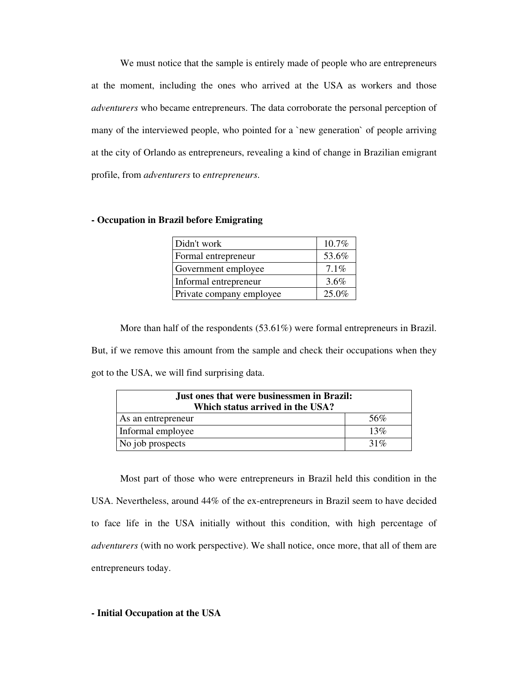We must notice that the sample is entirely made of people who are entrepreneurs at the moment, including the ones who arrived at the USA as workers and those *adventurers* who became entrepreneurs. The data corroborate the personal perception of many of the interviewed people, who pointed for a `new generation` of people arriving at the city of Orlando as entrepreneurs, revealing a kind of change in Brazilian emigrant profile, from *adventurers* to *entrepreneurs*.

# **- Occupation in Brazil before Emigrating**

| Didn't work              | 10.7% |
|--------------------------|-------|
| Formal entrepreneur      | 53.6% |
| Government employee      | 7.1%  |
| Informal entrepreneur    | 3.6%  |
| Private company employee | 25.0% |

 More than half of the respondents (53.61%) were formal entrepreneurs in Brazil. But, if we remove this amount from the sample and check their occupations when they got to the USA, we will find surprising data.

| Just ones that were businessmen in Brazil:<br>Which status arrived in the USA? |     |
|--------------------------------------------------------------------------------|-----|
| As an entrepreneur                                                             | 56% |
| Informal employee                                                              | 13% |
| No job prospects                                                               | 31% |

 Most part of those who were entrepreneurs in Brazil held this condition in the USA. Nevertheless, around 44% of the ex-entrepreneurs in Brazil seem to have decided to face life in the USA initially without this condition, with high percentage of *adventurers* (with no work perspective). We shall notice, once more, that all of them are entrepreneurs today.

# **- Initial Occupation at the USA**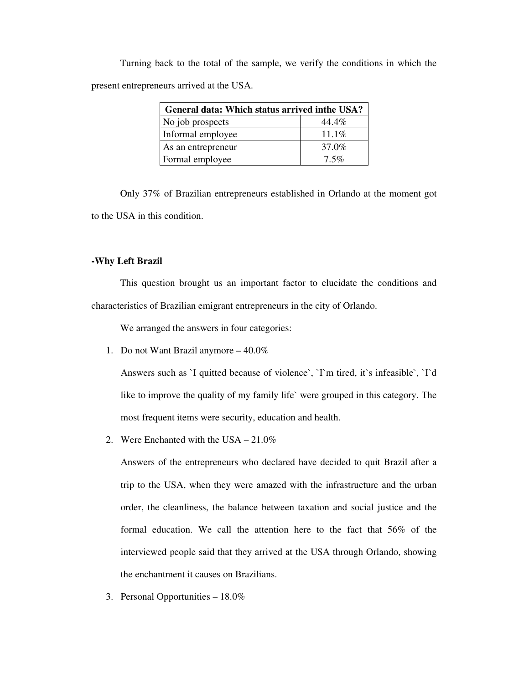Turning back to the total of the sample, we verify the conditions in which the present entrepreneurs arrived at the USA.

| General data: Which status arrived in the USA? |          |
|------------------------------------------------|----------|
| No job prospects                               | 44.4%    |
| Informal employee                              | $11.1\%$ |
| As an entrepreneur                             | 37.0%    |
| Formal employee                                | $7.5\%$  |

 Only 37% of Brazilian entrepreneurs established in Orlando at the moment got to the USA in this condition.

# **-Why Left Brazil**

 This question brought us an important factor to elucidate the conditions and characteristics of Brazilian emigrant entrepreneurs in the city of Orlando.

We arranged the answers in four categories:

1. Do not Want Brazil anymore – 40.0%

Answers such as `I quitted because of violence`, `I`m tired, it`s infeasible`, `I`d like to improve the quality of my family life` were grouped in this category. The most frequent items were security, education and health.

2. Were Enchanted with the USA – 21.0%

Answers of the entrepreneurs who declared have decided to quit Brazil after a trip to the USA, when they were amazed with the infrastructure and the urban order, the cleanliness, the balance between taxation and social justice and the formal education. We call the attention here to the fact that 56% of the interviewed people said that they arrived at the USA through Orlando, showing the enchantment it causes on Brazilians.

3. Personal Opportunities – 18.0%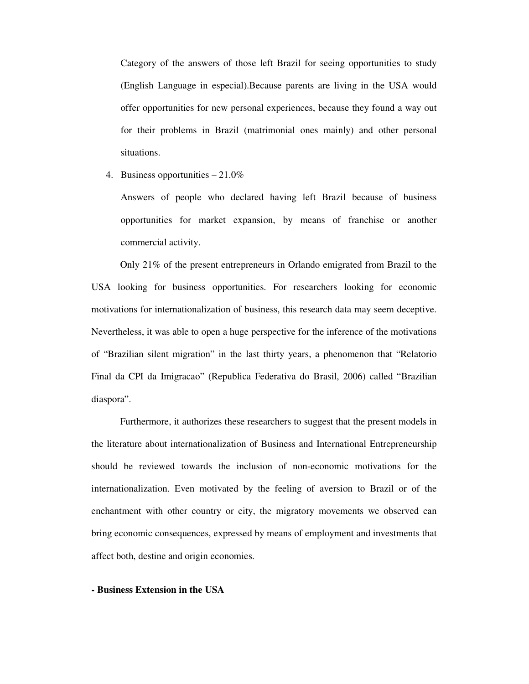Category of the answers of those left Brazil for seeing opportunities to study (English Language in especial).Because parents are living in the USA would offer opportunities for new personal experiences, because they found a way out for their problems in Brazil (matrimonial ones mainly) and other personal situations.

4. Business opportunities – 21.0%

Answers of people who declared having left Brazil because of business opportunities for market expansion, by means of franchise or another commercial activity.

 Only 21% of the present entrepreneurs in Orlando emigrated from Brazil to the USA looking for business opportunities. For researchers looking for economic motivations for internationalization of business, this research data may seem deceptive. Nevertheless, it was able to open a huge perspective for the inference of the motivations of "Brazilian silent migration" in the last thirty years, a phenomenon that "Relatorio Final da CPI da Imigracao" (Republica Federativa do Brasil, 2006) called "Brazilian diaspora".

 Furthermore, it authorizes these researchers to suggest that the present models in the literature about internationalization of Business and International Entrepreneurship should be reviewed towards the inclusion of non-economic motivations for the internationalization. Even motivated by the feeling of aversion to Brazil or of the enchantment with other country or city, the migratory movements we observed can bring economic consequences, expressed by means of employment and investments that affect both, destine and origin economies.

#### **- Business Extension in the USA**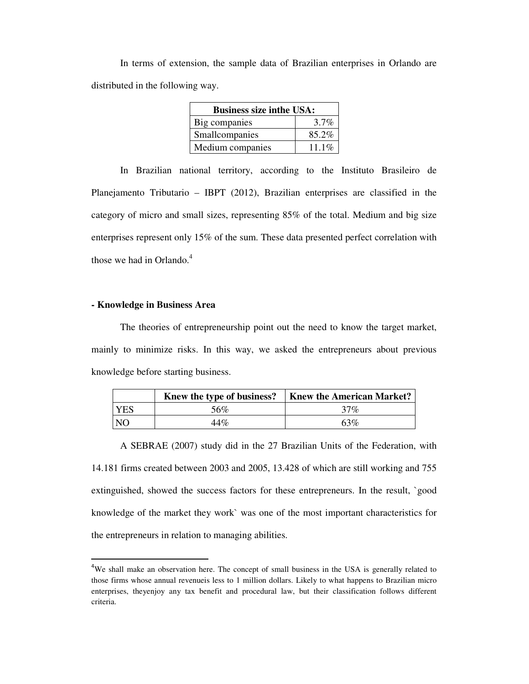In terms of extension, the sample data of Brazilian enterprises in Orlando are distributed in the following way.

| <b>Business size inthe USA:</b> |         |  |
|---------------------------------|---------|--|
| Big companies                   | $3.7\%$ |  |
| Smallcompanies                  | 85.2%   |  |
| Medium companies                | 11.1%   |  |

 In Brazilian national territory, according to the Instituto Brasileiro de Planejamento Tributario – IBPT (2012), Brazilian enterprises are classified in the category of micro and small sizes, representing 85% of the total. Medium and big size enterprises represent only 15% of the sum. These data presented perfect correlation with those we had in Orlando. $4$ 

# **- Knowledge in Business Area**

 $\overline{\phantom{a}}$ 

 The theories of entrepreneurship point out the need to know the target market, mainly to minimize risks. In this way, we asked the entrepreneurs about previous knowledge before starting business.

|                | Knew the type of business? | <b>Knew the American Market?</b> |
|----------------|----------------------------|----------------------------------|
| <b>YES</b>     | 56%                        | 37%                              |
| N <sub>O</sub> | 44%                        | 63%                              |

 A SEBRAE (2007) study did in the 27 Brazilian Units of the Federation, with 14.181 firms created between 2003 and 2005, 13.428 of which are still working and 755 extinguished, showed the success factors for these entrepreneurs. In the result, `good knowledge of the market they work` was one of the most important characteristics for the entrepreneurs in relation to managing abilities.

 $4W$ e shall make an observation here. The concept of small business in the USA is generally related to those firms whose annual revenueis less to 1 million dollars. Likely to what happens to Brazilian micro enterprises, theyenjoy any tax benefit and procedural law, but their classification follows different criteria.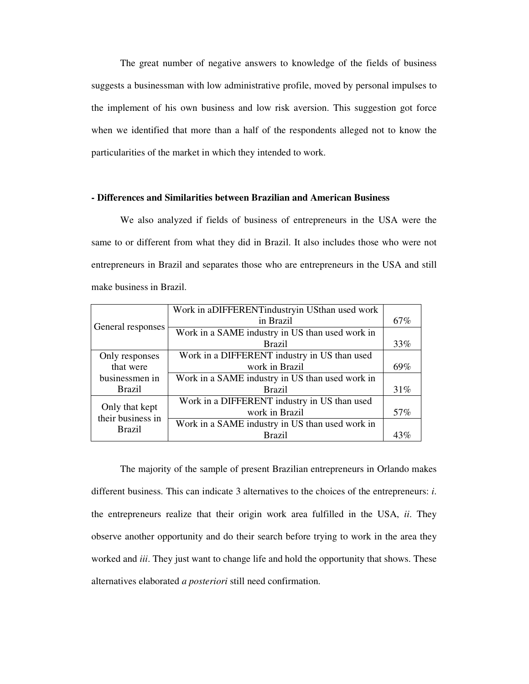The great number of negative answers to knowledge of the fields of business suggests a businessman with low administrative profile, moved by personal impulses to the implement of his own business and low risk aversion. This suggestion got force when we identified that more than a half of the respondents alleged not to know the particularities of the market in which they intended to work.

## **- Differences and Similarities between Brazilian and American Business**

We also analyzed if fields of business of entrepreneurs in the USA were the same to or different from what they did in Brazil. It also includes those who were not entrepreneurs in Brazil and separates those who are entrepreneurs in the USA and still make business in Brazil.

|                   | Work in aDIFFERENT industry in USthan used work |     |
|-------------------|-------------------------------------------------|-----|
| General responses | in Brazil                                       | 67% |
|                   | Work in a SAME industry in US than used work in |     |
|                   | <b>Brazil</b>                                   | 33% |
| Only responses    | Work in a DIFFERENT industry in US than used    |     |
| that were         | work in Brazil                                  | 69% |
| businessmen in    | Work in a SAME industry in US than used work in |     |
| <b>Brazil</b>     | <b>Brazil</b>                                   | 31% |
| Only that kept    | Work in a DIFFERENT industry in US than used    |     |
| their business in | work in Brazil                                  | 57% |
| <b>Brazil</b>     | Work in a SAME industry in US than used work in |     |
|                   | <b>Brazil</b>                                   | 43% |

 The majority of the sample of present Brazilian entrepreneurs in Orlando makes different business. This can indicate 3 alternatives to the choices of the entrepreneurs: *i*. the entrepreneurs realize that their origin work area fulfilled in the USA, *ii*. They observe another opportunity and do their search before trying to work in the area they worked and *iii*. They just want to change life and hold the opportunity that shows. These alternatives elaborated *a posteriori* still need confirmation.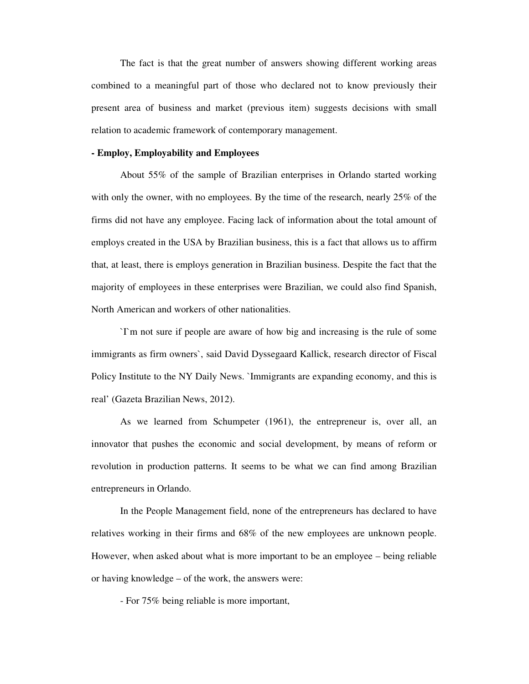The fact is that the great number of answers showing different working areas combined to a meaningful part of those who declared not to know previously their present area of business and market (previous item) suggests decisions with small relation to academic framework of contemporary management.

## **- Employ, Employability and Employees**

 About 55% of the sample of Brazilian enterprises in Orlando started working with only the owner, with no employees. By the time of the research, nearly 25% of the firms did not have any employee. Facing lack of information about the total amount of employs created in the USA by Brazilian business, this is a fact that allows us to affirm that, at least, there is employs generation in Brazilian business. Despite the fact that the majority of employees in these enterprises were Brazilian, we could also find Spanish, North American and workers of other nationalities.

 `I`m not sure if people are aware of how big and increasing is the rule of some immigrants as firm owners`, said David Dyssegaard Kallick, research director of Fiscal Policy Institute to the NY Daily News. `Immigrants are expanding economy, and this is real' (Gazeta Brazilian News, 2012).

 As we learned from Schumpeter (1961), the entrepreneur is, over all, an innovator that pushes the economic and social development, by means of reform or revolution in production patterns. It seems to be what we can find among Brazilian entrepreneurs in Orlando.

 In the People Management field, none of the entrepreneurs has declared to have relatives working in their firms and 68% of the new employees are unknown people. However, when asked about what is more important to be an employee – being reliable or having knowledge – of the work, the answers were:

- For 75% being reliable is more important,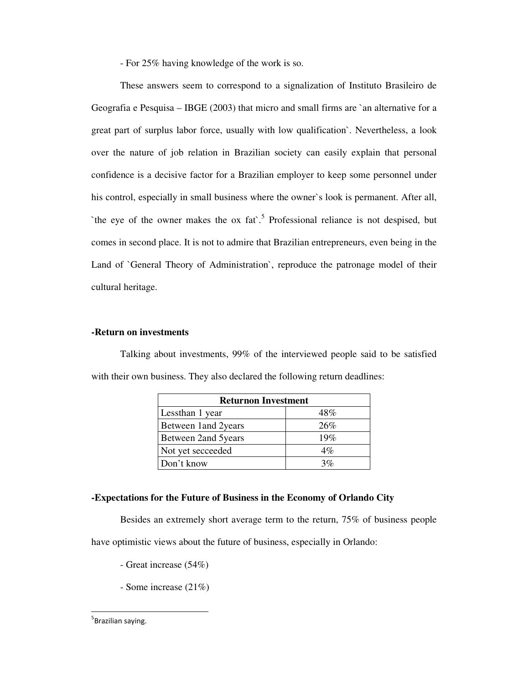- For 25% having knowledge of the work is so.

 These answers seem to correspond to a signalization of Instituto Brasileiro de Geografia e Pesquisa – IBGE (2003) that micro and small firms are `an alternative for a great part of surplus labor force, usually with low qualification`. Nevertheless, a look over the nature of job relation in Brazilian society can easily explain that personal confidence is a decisive factor for a Brazilian employer to keep some personnel under his control, especially in small business where the owner`s look is permanent. After all, `the eye of the owner makes the ox  $fat$ <sup>5</sup>. Professional reliance is not despised, but comes in second place. It is not to admire that Brazilian entrepreneurs, even being in the Land of `General Theory of Administration`, reproduce the patronage model of their cultural heritage.

# **-Return on investments**

Talking about investments, 99% of the interviewed people said to be satisfied with their own business. They also declared the following return deadlines:

| <b>Returnon Investment</b> |       |
|----------------------------|-------|
| Lessthan 1 year            | 48%   |
| Between 1 and 2 years      | 26%   |
| Between 2and 5years        | 19%   |
| Not yet secceeded          | $4\%$ |
| Don't know                 | 3%    |

#### **-Expectations for the Future of Business in the Economy of Orlando City**

Besides an extremely short average term to the return, 75% of business people

have optimistic views about the future of business, especially in Orlando:

- Great increase (54%)
- Some increase (21%)

## <sup>5</sup>Brazilian saying.

 $\overline{a}$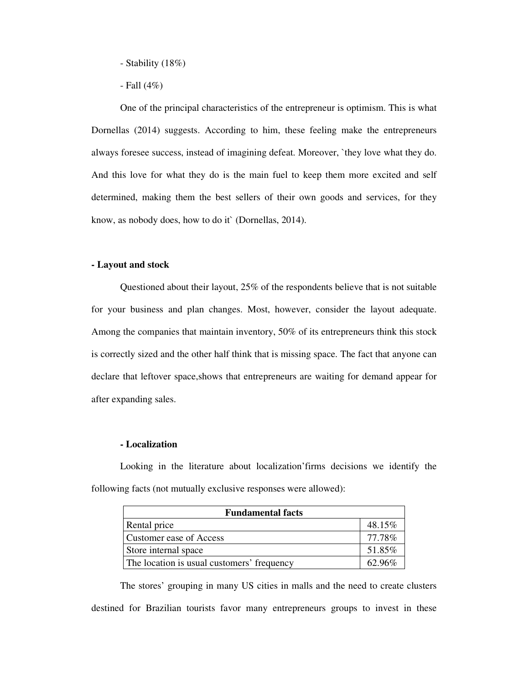- Stability (18%)

- Fall (4%)

One of the principal characteristics of the entrepreneur is optimism. This is what Dornellas (2014) suggests. According to him, these feeling make the entrepreneurs always foresee success, instead of imagining defeat. Moreover, `they love what they do. And this love for what they do is the main fuel to keep them more excited and self determined, making them the best sellers of their own goods and services, for they know, as nobody does, how to do it` (Dornellas, 2014).

## **- Layout and stock**

Questioned about their layout, 25% of the respondents believe that is not suitable for your business and plan changes. Most, however, consider the layout adequate. Among the companies that maintain inventory, 50% of its entrepreneurs think this stock is correctly sized and the other half think that is missing space. The fact that anyone can declare that leftover space, shows that entrepreneurs are waiting for demand appear for after expanding sales.

## **- Localization**

Looking in the literature about localization'firms decisions we identify the following facts (not mutually exclusive responses were allowed):

| <b>Fundamental facts</b>                   |        |  |
|--------------------------------------------|--------|--|
| Rental price                               | 48.15% |  |
| Customer ease of Access                    | 77.78% |  |
| Store internal space                       | 51.85% |  |
| The location is usual customers' frequency | 6296%  |  |

The stores' grouping in many US cities in malls and the need to create clusters destined for Brazilian tourists favor many entrepreneurs groups to invest in these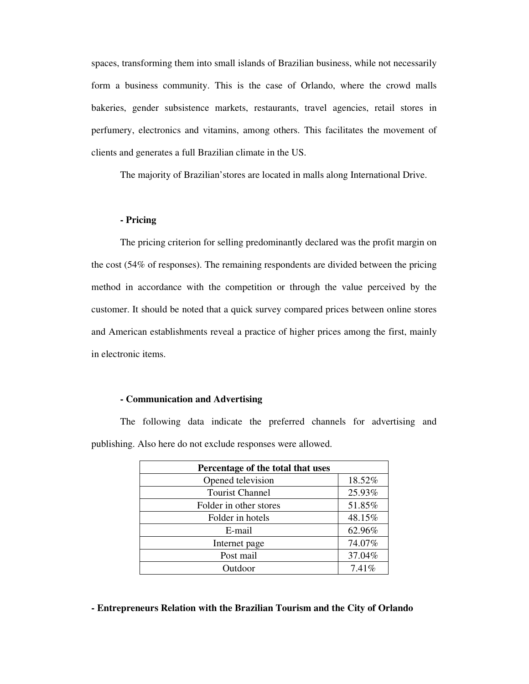spaces, transforming them into small islands of Brazilian business, while not necessarily form a business community. This is the case of Orlando, where the crowd malls bakeries, gender subsistence markets, restaurants, travel agencies, retail stores in perfumery, electronics and vitamins, among others. This facilitates the movement of clients and generates a full Brazilian climate in the US.

The majority of Brazilian'stores are located in malls along International Drive.

# **- Pricing**

The pricing criterion for selling predominantly declared was the profit margin on the cost (54% of responses). The remaining respondents are divided between the pricing method in accordance with the competition or through the value perceived by the customer. It should be noted that a quick survey compared prices between online stores and American establishments reveal a practice of higher prices among the first, mainly in electronic items.

# **- Communication and Advertising**

The following data indicate the preferred channels for advertising and publishing. Also here do not exclude responses were allowed.

| Percentage of the total that uses |        |
|-----------------------------------|--------|
| Opened television                 | 18.52% |
| <b>Tourist Channel</b>            | 25.93% |
| Folder in other stores            | 51.85% |
| Folder in hotels                  | 48.15% |
| E-mail                            | 62.96% |
| Internet page                     | 74.07% |
| Post mail                         | 37.04% |
| Outdoor                           | 7.41%  |

## **- Entrepreneurs Relation with the Brazilian Tourism and the City of Orlando**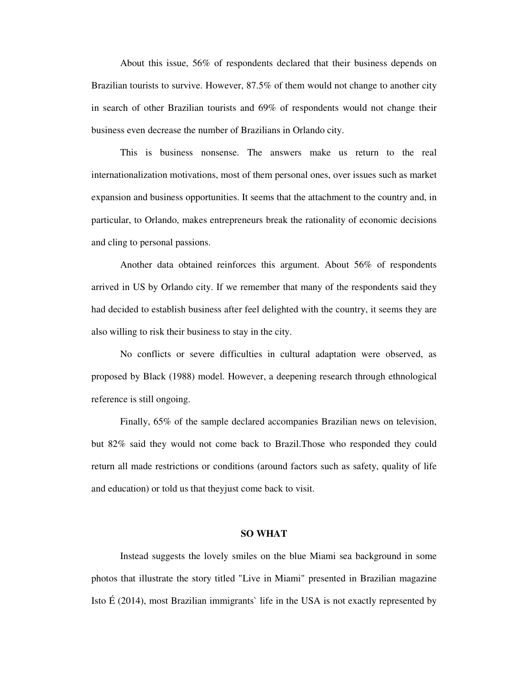About this issue, 56% of respondents declared that their business depends on Brazilian tourists to survive. However, 87.5% of them would not change to another city in search of other Brazilian tourists and 69% of respondents would not change their business even decrease the number of Brazilians in Orlando city.

This is business nonsense. The answers make us return to the real internationalization motivations, most of them personal ones, over issues such as market expansion and business opportunities. It seems that the attachment to the country and, in particular, to Orlando, makes entrepreneurs break the rationality of economic decisions and cling to personal passions.

Another data obtained reinforces this argument. About 56% of respondents arrived in US by Orlando city. If we remember that many of the respondents said they had decided to establish business after feel delighted with the country, it seems they are also willing to risk their business to stay in the city.

No conflicts or severe difficulties in cultural adaptation were observed, as proposed by Black (1988) model. However, a deepening research through ethnological reference is still ongoing.

Finally, 65% of the sample declared accompanies Brazilian news on television, but 82% said they would not come back to Brazil.Those who responded they could return all made restrictions or conditions (around factors such as safety, quality of life and education) or told us that theyjust come back to visit.

#### **SO WHAT**

 Instead suggests the lovely smiles on the blue Miami sea background in some photos that illustrate the story titled "Live in Miami" presented in Brazilian magazine Isto  $\hat{E}$  (2014), most Brazilian immigrants' life in the USA is not exactly represented by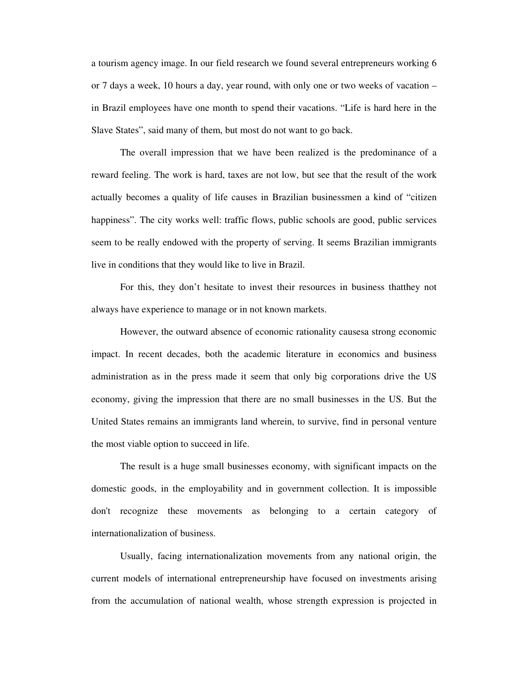a tourism agency image. In our field research we found several entrepreneurs working 6 or 7 days a week, 10 hours a day, year round, with only one or two weeks of vacation – in Brazil employees have one month to spend their vacations. "Life is hard here in the Slave States", said many of them, but most do not want to go back.

The overall impression that we have been realized is the predominance of a reward feeling. The work is hard, taxes are not low, but see that the result of the work actually becomes a quality of life causes in Brazilian businessmen a kind of "citizen happiness". The city works well: traffic flows, public schools are good, public services seem to be really endowed with the property of serving. It seems Brazilian immigrants live in conditions that they would like to live in Brazil.

For this, they don't hesitate to invest their resources in business thatthey not always have experience to manage or in not known markets.

However, the outward absence of economic rationality causesa strong economic impact. In recent decades, both the academic literature in economics and business administration as in the press made it seem that only big corporations drive the US economy, giving the impression that there are no small businesses in the US. But the United States remains an immigrants land wherein, to survive, find in personal venture the most viable option to succeed in life.

The result is a huge small businesses economy, with significant impacts on the domestic goods, in the employability and in government collection. It is impossible don't recognize these movements as belonging to a certain category of internationalization of business.

Usually, facing internationalization movements from any national origin, the current models of international entrepreneurship have focused on investments arising from the accumulation of national wealth, whose strength expression is projected in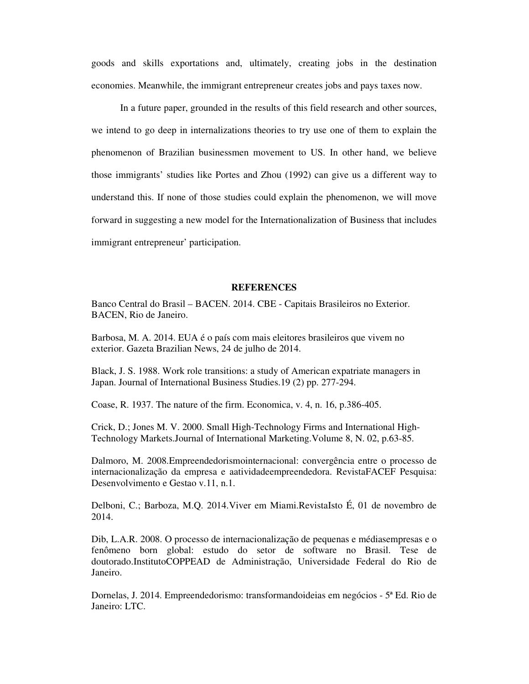goods and skills exportations and, ultimately, creating jobs in the destination economies. Meanwhile, the immigrant entrepreneur creates jobs and pays taxes now.

In a future paper, grounded in the results of this field research and other sources, we intend to go deep in internalizations theories to try use one of them to explain the phenomenon of Brazilian businessmen movement to US. In other hand, we believe those immigrants' studies like Portes and Zhou (1992) can give us a different way to understand this. If none of those studies could explain the phenomenon, we will move forward in suggesting a new model for the Internationalization of Business that includes immigrant entrepreneur' participation.

#### **REFERENCES**

Banco Central do Brasil – BACEN. 2014. CBE - Capitais Brasileiros no Exterior. BACEN, Rio de Janeiro.

Barbosa, M. A. 2014. EUA é o país com mais eleitores brasileiros que vivem no exterior. Gazeta Brazilian News, 24 de julho de 2014.

Black, J. S. 1988. Work role transitions: a study of American expatriate managers in Japan. Journal of International Business Studies.19 (2) pp. 277-294.

Coase, R. 1937. The nature of the firm. Economica, v. 4, n. 16, p.386-405.

Crick, D.; Jones M. V. 2000. Small High-Technology Firms and International High-Technology Markets.Journal of International Marketing.Volume 8, N. 02, p.63-85.

Dalmoro, M. 2008.Empreendedorismointernacional: convergência entre o processo de internacionalização da empresa e aatividadeempreendedora. RevistaFACEF Pesquisa: Desenvolvimento e Gestao v.11, n.1.

Delboni, C.; Barboza, M.Q. 2014.Viver em Miami.RevistaIsto É, 01 de novembro de 2014.

Dib, L.A.R. 2008. O processo de internacionalização de pequenas e médiasempresas e o fenômeno born global: estudo do setor de software no Brasil. Tese de doutorado.InstitutoCOPPEAD de Administração, Universidade Federal do Rio de Janeiro.

Dornelas, J. 2014. Empreendedorismo: transformandoideias em negócios - 5ª Ed. Rio de Janeiro: LTC.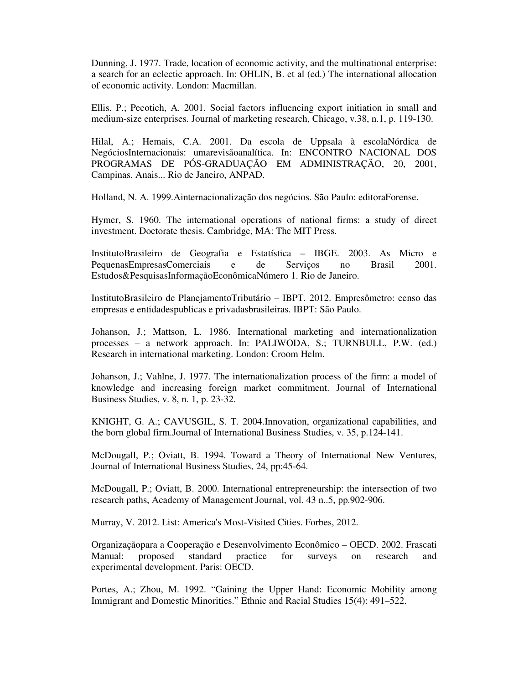Dunning, J. 1977. Trade, location of economic activity, and the multinational enterprise: a search for an eclectic approach. In: OHLIN, B. et al (ed.) The international allocation of economic activity. London: Macmillan.

Ellis. P.; Pecotich, A. 2001. Social factors influencing export initiation in small and medium-size enterprises. Journal of marketing research, Chicago, v.38, n.1, p. 119-130.

Hilal, A.; Hemais, C.A. 2001. Da escola de Uppsala à escolaNórdica de NegóciosInternacionais: umarevisãoanalítica. In: ENCONTRO NACIONAL DOS PROGRAMAS DE PÓS-GRADUAÇÃO EM ADMINISTRAÇÃO, 20, 2001, Campinas. Anais... Rio de Janeiro, ANPAD.

Holland, N. A. 1999.Ainternacionalização dos negócios. São Paulo: editoraForense.

Hymer, S. 1960. The international operations of national firms: a study of direct investment. Doctorate thesis. Cambridge, MA: The MIT Press.

InstitutoBrasileiro de Geografia e Estatística – IBGE. 2003. As Micro e PequenasEmpresasComerciais e de Serviços no Brasil 2001. Estudos&PesquisasInformaçãoEconômicaNúmero 1. Rio de Janeiro.

InstitutoBrasileiro de PlanejamentoTributário – IBPT. 2012. Empresômetro: censo das empresas e entidadespublicas e privadasbrasileiras. IBPT: São Paulo.

Johanson, J.; Mattson, L. 1986. International marketing and internationalization processes – a network approach. In: PALIWODA, S.; TURNBULL, P.W. (ed.) Research in international marketing. London: Croom Helm.

Johanson, J.; Vahlne, J. 1977. The internationalization process of the firm: a model of knowledge and increasing foreign market commitment. Journal of International Business Studies, v. 8, n. 1, p. 23-32.

KNIGHT, G. A.; CAVUSGIL, S. T. 2004.Innovation, organizational capabilities, and the born global firm.Journal of International Business Studies, v. 35, p.124-141.

McDougall, P.; Oviatt, B. 1994. Toward a Theory of International New Ventures, Journal of International Business Studies, 24, pp:45-64.

McDougall, P.; Oviatt, B. 2000. International entrepreneurship: the intersection of two research paths, Academy of Management Journal, vol. 43 n..5, pp.902-906.

Murray, V. 2012. List: America's Most-Visited Cities. Forbes, 2012.

Organizaçãopara a Cooperação e Desenvolvimento Econômico – OECD. 2002. Frascati Manual: proposed standard practice for surveys on research and experimental development. Paris: OECD.

Portes, A.; Zhou, M. 1992. "Gaining the Upper Hand: Economic Mobility among Immigrant and Domestic Minorities." Ethnic and Racial Studies 15(4): 491–522.